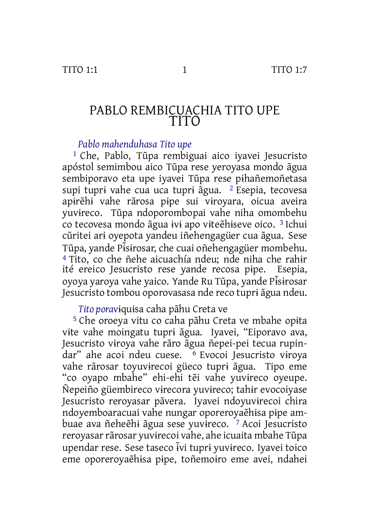### PABLO REMBICUACHIA TITO UPE TITO

*Pablo mahenduhasa Tito upe*

1 Che, Pablo, Tũpa rembiguai aico iyavei Jesucristo apóstol semimbou aico Tũpa rese yeroyasa mondo ãgua sembiporavo eta upe iyavei Tũpa rese pɨhañemoñetasa supi tuprɨ vahe cua uca tuprɨ ãgua. 2 Esepia, tecovesa apɨrẽhɨ vahe rãrosa pɨpe sui vɨroyara, oicua aveira yuvɨreco. Tũpa ndoporombopai vahe niha omombehu co tecovesa mondo ãgua ɨvɨ apo vɨteẽhɨseve oico. 3 Ichui cũritei arɨ oyepota yandeu iñehengagüer cua ãgua. Sese Tũpa, yande Pɨs̃ɨrosar, che cuai oñehengagüer mombehu. <sup>4</sup> Tito, co che ñehe aicuachía ndeu; nde niha che rahir ité ereico Jesucristo rese vande recosa pipe. Esepia. ité ereico Jesucristo rese yande recosa pipe. oyoya yaroya vahe yaico. Yande Ru Tũpa, yande Pɨs̃ɨrosar Jesucristo tombou oporovasasa nde reco tuprɨ ãgua ndeu.

*Tito porav*ɨquɨsa caha pãhu Creta ve

5 Che oroeya vitu co caha pãhu Creta ve mbahe opɨta vɨte vahe moingatu tuprɨ ãgua. Iyavei, "Eiporavo ava, Jesucristo vɨroya vahe rãro ãgua ñepei-pei tecua rupindar" ahe acoi ndeu cuese. <sup>6</sup> Evocoi Jesucristo viroya vahe rãrosar toyuvɨrecoi güeco tuprɨ ãgua. Tipo eme "co oyapo mbahe" ehi-ehi tẽi vahe yuvɨreco oyeupe. Ñepeiño güembireco vɨrecora yuvɨreco; tahɨr evocoiyase Jesucristo reroyasar pãvera. Iyavei ndoyuvɨrecoi chira ndoyemboaracuai vahe nungar oporeroyaẽhɨsa pɨpe ambuae ava ñeheẽhɨ ãgua sese yuvɨreco. 7 Acoi Jesucristo reroyasar rãrosar yuvirecoi vahe, ahe icuaita mbahe Tũpa upendar rese. Sese taseco ɨvĩ tuprɨ yuvɨreco. Iyavei toico eme oporeroyaẽhɨsa pɨpe, toñemoɨro eme avei, ndahei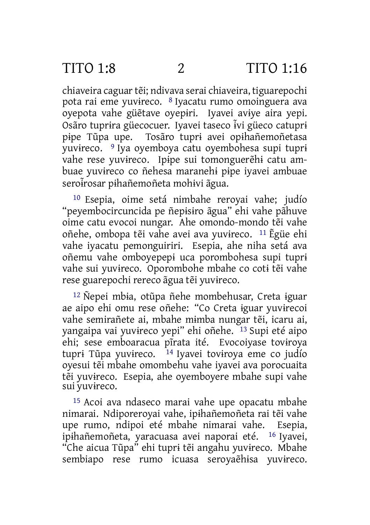chiaveira caguartẽi; ndivava serai chiaveira, tiguarepochi pota rai eme yuvɨreco. 8 Iyacatu rumo omoinguera ava oyepota vahe güẽtave oyepɨri. Iyavei avɨye aira yepi. Osãro tuprɨra güecocuer. Iyavei taseco ɨvĩ güeco catuprɨ pɨpe Tũpa upe. Tosãro tuprɨ avei opɨhañemoñetasa yuvɨreco. 9 Iya oyemboya catu oyembohesa supi tuprɨ vahe rese yuvɨreco. Ipɨpe sui tomonguerẽhɨ catu ambuae yuvɨreco co ñehesa maranehɨ pɨpe iyavei ambuae seroi̇̃rosar pihañemoñeta mohivi ãgua.

10 Esepia, oime setá nimbahe reroyai vahe; judío "peyembocircuncida pe ñepɨsɨro ãgua" ehi vahe pãhuve oime catu evocoi nungar. Ahe omondo-mondo tẽi vahe oñehe, ombopa tẽi vahe avei ava yuvɨreco. 11 Ẽgüe ehi vahe iyacatu pemonguiriri. Esepia, ahe niha setá ava oñemu vahe omboyepepɨ uca porombohesa supi tuprɨ vahe sui yuvɨreco. Oporombohe mbahe co cotɨ tẽi vahe rese guarepochi rereco ãgua tẽi yuvɨreco.

12 Ñepei mbɨa, otũpa ñehe mombehusar, Creta ɨguar ae aipo ehi omu rese oñehe: "Co Creta ɨguar yuvɨrecoi vahe semirañete ai, mbahe mɨmba nungar tẽi, icaru ai, yangaipa vai yuvɨreco yepi" ehi oñehe. 13 Supi eté aipo ehi; sese emboaracua pĩrata ité. Evocoiyase tovɨroya tupri Tũpa yuvireco.  $14$  Iyavei toviroya eme co judío oyesui tẽi mbahe omombehu vahe iyavei ava porocuaita tẽi yuvɨreco. Esepia, ahe oyemboyere mbahe supi vahe sui yuvɨreco.

15 Acoi ava ndaseco marai vahe upe opacatu mbahe nimarai. Ndiporeroyai vahe, ipɨhañemoñeta rai tẽi vahe upe rumo, ndipoi eté mbahe nimarai vahe. Esepia, ipɨhañemoñeta, yaracuasa avei naporai eté. 16 Iyavei, "Che aicua Tũpa" ehi tuprɨ tẽi angahu yuvɨreco. Mbahe sembiapo rese rumo icuasa seroyaẽhɨsa yuvɨreco.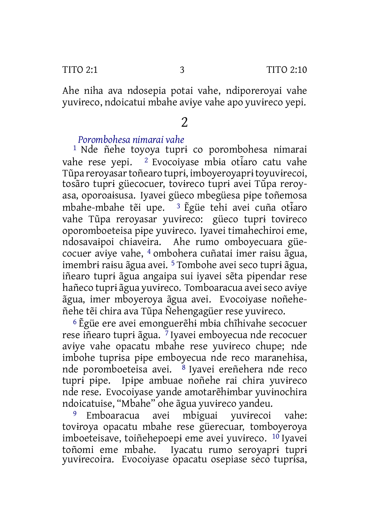Ahe niha ava ndosepia potai vahe, ndiporeroyai vahe yuvɨreco, ndoicatui mbahe avɨye vahe apo yuvɨreco yepi.

## 2

#### *Porombohesa nimarai vahe*

1 Nde ñehe toyoya tuprɨ co porombohesa nimarai vahe rese vepi. <sup>2</sup> Evocoivase mbia otiaro catu vahe Tũpa reroyasartoñearo tuprɨ, imboyeroyaprɨtoyuvɨrecoi, tosãro tuprɨ güecocuer, tovɨreco tuprɨ avei Tũpa reroyasa, oporoaɨsusa. Iyavei güeco mbegüesa pɨpe toñemosa mbahe-mbahe tẽi upe. <sup>3</sup> Ēgüe tehi avei cuña otiaro vahe Tũpa reroyasar yuvɨreco: güeco tuprɨ tovɨreco oporomboeteisa pɨpe yuvɨreco. Iyavei timahechiroi eme, ndosavaɨpoi chiaveira. Ahe rumo omboyecuara güecocuer avɨye vahe, 4 ombohera cuñatai imer raɨsu ãgua, imembrɨ raɨsu ãgua avei. 5 Tombohe avei seco tuprɨ ãgua, iñearo tuprɨ ãgua angaipa sui iyavei sẽta pɨpendar rese hañeco tuprɨ ãgua yuvɨreco. Tomboaracua aveiseco avɨye ãgua, imer mboyeroya ãgua avei. Evocoiyase noñeheñehe tẽi chira ava Tũpa Ñehengagüer rese yuvɨreco.

6 Ẽgüe ere avei emonguerẽhɨ mbɨa chĩhivahe secocuer rese iñearo tuprɨ ãgua. 7 Iyavei emboyecua nde recocuer avɨye vahe opacatu mbahe rese yuvɨreco chupe; nde imbohe tuprɨsa pɨpe emboyecua nde reco maranehɨsa, nde poromboeteisa avei. <sup>8</sup> Iyavei ereñehera nde reco tuprɨ pɨpe. Ipɨpe ambuae noñehe rai chira yuvɨreco nde rese. Evocoiyase yande amotarẽhɨmbar yuvɨnochira ndoicatuise, "Mbahe" ohe ãgua yuvɨreco yandeu.

Emboaracua avei mbiguai yuvirecoi vahe: tovɨroya opacatu mbahe rese güerecuar, tomboyeroya imboeteisave, toiñehepoepɨ eme avei yuvɨreco. 10 Iyavei toñomi eme mbahe. Iyacatu rumo seroyaprɨ tuprɨ yuvɨrecoira. Evocoiyase opacatu osepiase seco tuprɨsa,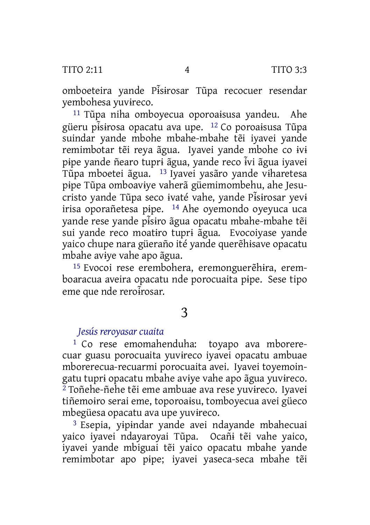omboeteira yande Pɨs̃ɨrosar Tũpa recocuer resendar yembohesa yuvɨreco.

11 Tũpa niha omboyecua oporoaɨsusa yandeu. Ahe güeru pɨs̃ɨrosa opacatu ava upe. <sup>12</sup> Co poroaɨsusa Tũpa suindar yande mbohe mbahe-mbahe tẽi iyavei yande remimbotar tẽi reya ãgua. Iyavei yande mbohe co ɨvɨ pipe yande ñearo tupri ãgua, yande reco ivi ãgua ivavei Tũpa mboetei ãgua. 13 Iyavei yasãro yande vɨharetesa pɨpe Tũpa omboavɨye vaherã güemimombehu, ahe Jesucristo yande Tũpa seco ɨvaté vahe, yande Pɨs̃ɨrosar yevɨ irisa oporañetesa pɨpe. 14 Ahe oyemondo oyeyuca uca yande rese yande pɨs̃ɨro ãgua opacatu mbahe-mbahe tẽi sui yande reco moatɨro tuprɨ ãgua. Evocoiyase yande yaico chupe nara güeraño ité yande querẽhɨsave opacatu mbahe avɨye vahe apo ãgua.

15 Evocoi rese erembohera, eremonguerẽhɨra, eremboaracua aveira opacatu nde porocuaita pɨpe. Sese tipo eme que nde reroirosar.

## 3

#### *Jesús reroyasar cuaita*

1 Co rese emomahenduha: toyapo ava mborerecuar guasu porocuaita yuvɨreco iyavei opacatu ambuae mborerecua-recuarmi porocuaita avei. Iyavei toyemoingatu tuprɨ opacatu mbahe avɨye vahe apo ãgua yuvɨreco. 2 Toñehe-ñehe tẽi eme ambuae ava rese yuvɨreco. Iyavei tiñemoɨro serai eme, toporoaɨsu, tomboyecua avei güeco mbegüesa opacatu ava upe yuvɨreco.

3 Esepia, yɨpɨndar yande avei ndayande mbahecuai yaico iyavei ndayaroyai Tũpa. Ocañɨ tẽi vahe yaico, iyavei yande mbiguai tẽi yaico opacatu mbahe yande remimbotar apo pɨpe; iyavei yaseca-seca mbahe tẽi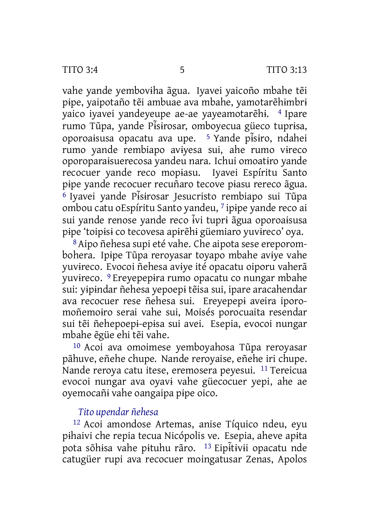vahe yande yembovɨha ãgua. Iyavei yaicoño mbahe tẽi pɨpe, yaipotaño tẽi ambuae ava mbahe, yamotarẽhɨmbrɨ yaico iyavei yandeyeupe ae-ae yayeamotarẽhɨ. 4 Ipare rumo Tũpa, yande Pɨs̃ɨrosar, omboyecua güeco tuprɨsa, oporoaɨsusa opacatu ava upe. <sup>5</sup> Yande pɨs̃ɨro, ndahei rumo yande rembiapo avɨyesa sui, ahe rumo vɨreco oporoparaɨsuerecosa yandeu nara. Ichui omoatɨro yande recocuer yande reco mopɨasu. Iyavei Espíritu Santo pɨpe yande recocuer recuñaro tecove pɨasu rereco ãgua. <sup>6</sup> Iyavei yande Pɨs̃ɨrosar Jesucristo rembiapo sui Tũpa ombou catu oEspíritu Santo yandeu, 7 ipɨpe yande reco ai sui yande renose yande reco ɨvĩ tuprɨ ãgua oporoaɨsusa pɨpe 'toipɨsɨ co tecovesa apɨrẽhɨ güemiaro yuvɨreco' oya.

8Aipo ñehesa supi eté vahe. Che aipota sese ereporombohera. Ipɨpe Tũpa reroyasar toyapo mbahe avɨye vahe yuvɨreco. Evocoi ñehesa avɨye ité opacatu oiporu vaherã yuvɨreco. 9 Ereyepepɨra rumo opacatu co nungar mbahe sui: yɨpɨndar ñehesa yepoepɨ tẽisa sui, ipare aracahendar ava recocuer rese ñehesa sui. Ereyepepɨ aveira iporomoñemoɨro serai vahe sui, Moisés porocuaita resendar sui tẽi ñehepoepɨ-epɨsa sui avei. Esepia, evocoi nungar mbahe ẽgüe ehi tẽi vahe.

10 Acoi ava omoimese yemboyahosa Tũpa reroyasar pãhuve, eñehe chupe. Nande reroyaise, eñehe iri chupe. Nande reroya catu itese, eremosera peyesui. <sup>11</sup> Tereicua evocoi nungar ava oyavɨ vahe güecocuer yepi, ahe ae oyemocañɨ vahe oangaipa pɨpe oico.

### *Tito upendar ñehesa*

12 Acoi amondose Artemas, anise Tíquico ndeu, eyu pɨhaivi che repia tecua Nicópolis ve. Esepia, aheve apɨta pota sõhisa vahe pituhu rãro. <sup>13</sup> Eipitivii opacatu nde catugüer rupi ava recocuer moingatusar Zenas, Apolos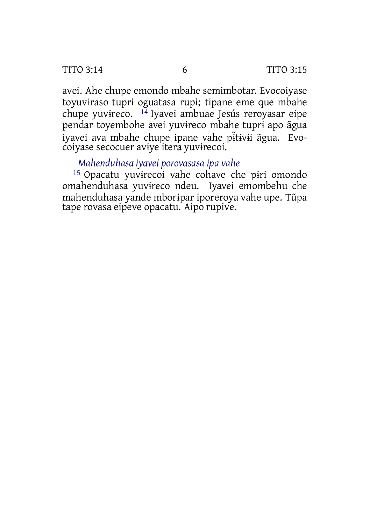TITO 3:14 6 TITO 3:15

avei. Ahe chupe emondo mbahe semimbotar. Evocoiyase toyuvɨraso tuprɨ oguatasa rupi; tipane eme que mbahe chupe yuvɨreco. 14 Iyavei ambuae Jesús reroyasar eipe pendar toyembohe avei yuvɨreco mbahe tuprɨ apo ãgua iyavei ava mbahe chupe ipane vahe pɨ ̃tɨvɨi ãgua. Evocoiyase secocuer avɨye itera yuvɨrecoi.

#### *Mahenduhasa iyavei porovasasa ipa vahe*

15 Opacatu yuvɨrecoi vahe cohave che pɨri omondo omahenduhasa yuvɨreco ndeu. Iyavei emombehu che mahenduhasa yande mborɨpar iporeroya vahe upe. Tũpa tape rovasa eipeve opacatu. Aipo rupive.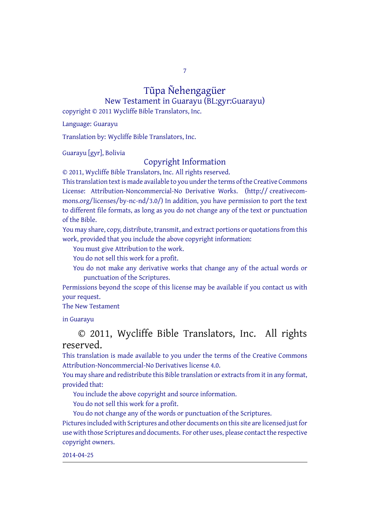7

# Tũpa Ñehengagüer

New Testament in Guarayu (BL:gyr:Guarayu) copyright © 2011 Wycliffe Bible Translators, Inc.

Language: Guarayu

Translation by: Wycliffe Bible Translators, Inc.

Guarayu [gyr], Bolivia

#### Copyright Information

© 2011, Wycliffe Bible Translators, Inc. All rights reserved.

This translation text is made available to you under the terms of the Creative [Commons](http://creativecommons.org/licenses/by-nc-nd/4.0/) License: [Attribution-Noncommercial-No](http://creativecommons.org/licenses/by-nc-nd/4.0/) Derivative Works. (http:// creativecommons.org/licenses/by-nc-nd/3.0/) In addition, you have permission to port the text to different file formats, as long as you do not change any of the text or punctuation of the Bible.

You may share, copy, distribute, transmit, and extract portions or quotations from this work, provided that you include the above copyright information:

You must give Attribution to the work.

You do not sell this work for a profit.

You do not make any derivative works that change any of the actual words or punctuation of the Scriptures.

Permissions beyond the scope of this license may be available if you contact us with your request.

#### The New Testament

in Guarayu

#### © 2011, Wycliffe Bible Translators, Inc. All rights reserved.

This translation is made available to you under the terms of the Creative Commons Attribution-Noncommercial-No Derivatives license 4.0.

You may share and redistribute this Bible translation or extracts from it in any format, provided that:

You include the above copyright and source information.

You do not sell this work for a profit.

You do not change any of the words or punctuation of the Scriptures. Pictures included with Scriptures and other documents on this site are licensed just for use with those Scriptures and documents. For other uses, please contact the respective copyright owners.

#### 2014-04-25